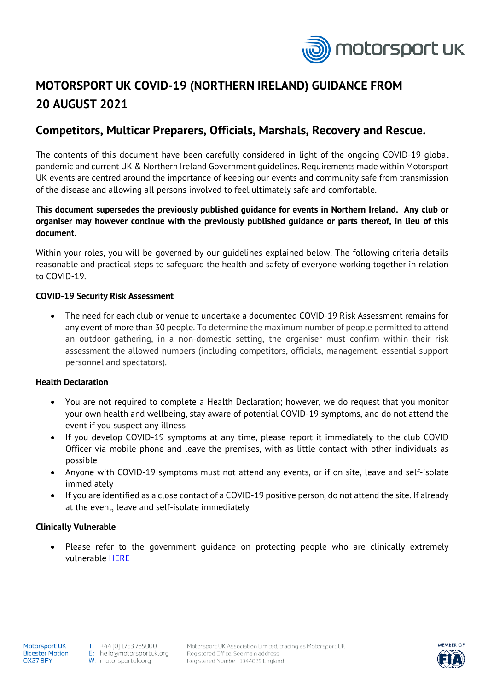

# **MOTORSPORT UK COVID-19 (NORTHERN IRELAND) GUIDANCE FROM 20 AUGUST 2021**

# **Competitors, Multicar Preparers, Officials, Marshals, Recovery and Rescue.**

The contents of this document have been carefully considered in light of the ongoing COVID-19 global pandemic and current UK & Northern Ireland Government guidelines. Requirements made within Motorsport UK events are centred around the importance of keeping our events and community safe from transmission of the disease and allowing all persons involved to feel ultimately safe and comfortable.

# **This document supersedes the previously published guidance for events in Northern Ireland. Any club or organiser may however continue with the previously published guidance or parts thereof, in lieu of this document.**

Within your roles, you will be governed by our guidelines explained below. The following criteria details reasonable and practical steps to safeguard the health and safety of everyone working together in relation to COVID-19.

## **COVID-19 Security Risk Assessment**

• The need for each club or venue to undertake a documented COVID-19 Risk Assessment remains for any event of more than 30 people. To determine the maximum number of people permitted to attend an outdoor gathering, in a non-domestic setting, the organiser must confirm within their risk assessment the allowed numbers (including competitors, officials, management, essential support personnel and spectators).

#### **Health Declaration**

- You are not required to complete a Health Declaration; however, we do request that you monitor your own health and wellbeing, stay aware of potential COVID-19 symptoms, and do not attend the event if you suspect any illness
- If you develop COVID-19 symptoms at any time, please report it immediately to the club COVID Officer via mobile phone and leave the premises, with as little contact with other individuals as possible
- Anyone with COVID-19 symptoms must not attend any events, or if on site, leave and self-isolate immediately
- If you are identified as a close contact of a COVID-19 positive person, do not attend the site. If already at the event, leave and self-isolate immediately

# **Clinically Vulnerable**

• Please refer to the government guidance on protecting people who are clinically extremely vulnerable [HERE](https://www.nidirect.gov.uk/articles/coronavirus-covid-19-guidance-clinically-extremely-vulnerable-and-vulnerable-people)

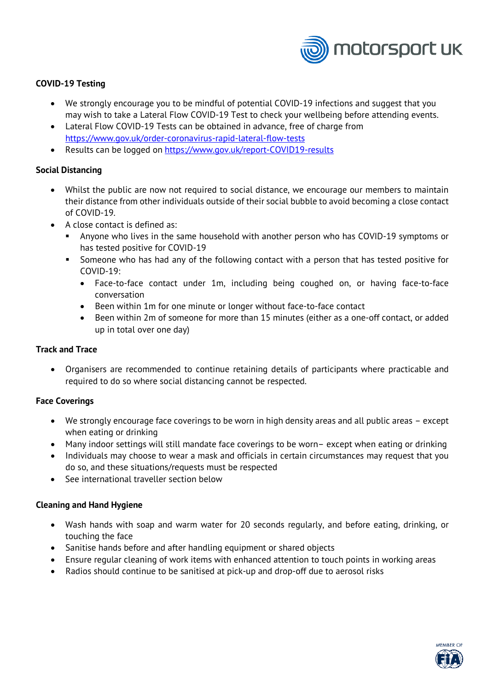

## **COVID-19 Testing**

- We strongly encourage you to be mindful of potential COVID-19 infections and suggest that you may wish to take a Lateral Flow COVID-19 Test to check your wellbeing before attending events.
- Lateral Flow COVID-19 Tests can be obtained in advance, free of charge from <https://www.gov.uk/order-coronavirus-rapid-lateral-flow-tests>
- Results can be logged on [https://www.gov.uk/report-COVID19-results](https://www.gov.uk/report-covid19-results)

#### **Social Distancing**

- Whilst the public are now not required to social distance, we encourage our members to maintain their distance from other individuals outside of their social bubble to avoid becoming a close contact of COVID-19.
- A close contact is defined as:
	- Anyone who lives in the same household with another person who has COVID-19 symptoms or has tested positive for COVID-19
	- **Someone who has had any of the following contact with a person that has tested positive for** COVID-19:
		- Face-to-face contact under 1m, including being coughed on, or having face-to-face conversation
		- Been within 1m for one minute or longer without face-to-face contact
		- Been within 2m of someone for more than 15 minutes (either as a one-off contact, or added up in total over one day)

#### **Track and Trace**

• Organisers are recommended to continue retaining details of participants where practicable and required to do so where social distancing cannot be respected.

#### **Face Coverings**

- We strongly encourage face coverings to be worn in high density areas and all public areas except when eating or drinking
- Many indoor settings will still mandate face coverings to be worn– except when eating or drinking
- Individuals may choose to wear a mask and officials in certain circumstances may request that you do so, and these situations/requests must be respected
- See international traveller section below

#### **Cleaning and Hand Hygiene**

- Wash hands with soap and warm water for 20 seconds regularly, and before eating, drinking, or touching the face
- Sanitise hands before and after handling equipment or shared objects
- Ensure regular cleaning of work items with enhanced attention to touch points in working areas
- Radios should continue to be sanitised at pick-up and drop-off due to aerosol risks

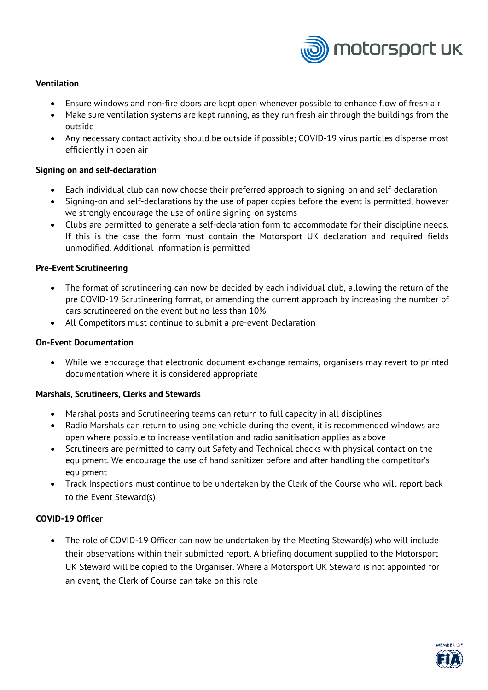

## **Ventilation**

- Ensure windows and non-fire doors are kept open whenever possible to enhance flow of fresh air
- Make sure ventilation systems are kept running, as they run fresh air through the buildings from the outside
- Any necessary contact activity should be outside if possible; COVID-19 virus particles disperse most efficiently in open air

#### **Signing on and self-declaration**

- Each individual club can now choose their preferred approach to signing-on and self-declaration
- Signing-on and self-declarations by the use of paper copies before the event is permitted, however we strongly encourage the use of online signing-on systems
- Clubs are permitted to generate a self-declaration form to accommodate for their discipline needs. If this is the case the form must contain the Motorsport UK declaration and required fields unmodified. Additional information is permitted

#### **Pre-Event Scrutineering**

- The format of scrutineering can now be decided by each individual club, allowing the return of the pre COVID-19 Scrutineering format, or amending the current approach by increasing the number of cars scrutineered on the event but no less than 10%
- All Competitors must continue to submit a pre-event Declaration

#### **On-Event Documentation**

• While we encourage that electronic document exchange remains, organisers may revert to printed documentation where it is considered appropriate

#### **Marshals, Scrutineers, Clerks and Stewards**

- Marshal posts and Scrutineering teams can return to full capacity in all disciplines
- Radio Marshals can return to using one vehicle during the event, it is recommended windows are open where possible to increase ventilation and radio sanitisation applies as above
- Scrutineers are permitted to carry out Safety and Technical checks with physical contact on the equipment. We encourage the use of hand sanitizer before and after handling the competitor's equipment
- Track Inspections must continue to be undertaken by the Clerk of the Course who will report back to the Event Steward(s)

# **COVID-19 Officer**

• The role of COVID-19 Officer can now be undertaken by the Meeting Steward(s) who will include their observations within their submitted report. A briefing document supplied to the Motorsport UK Steward will be copied to the Organiser. Where a Motorsport UK Steward is not appointed for an event, the Clerk of Course can take on this role